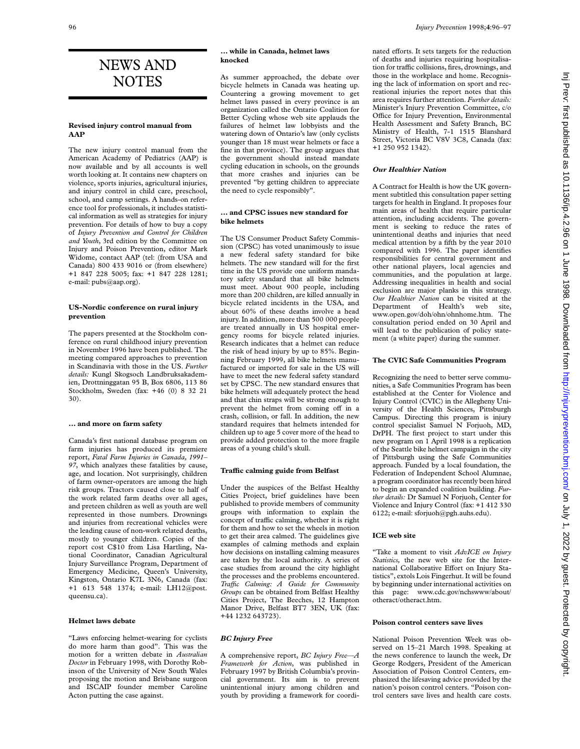# NEWS AND **NOTES**

# **Revised injury control manual from AAP**

The new injury control manual from the American Academy of Pediatrics (AAP) is now available and by all accounts is well worth looking at. It contains new chapters on violence, sports injuries, agricultural injuries, and injury control in child care, preschool, school, and camp settings. A hands-on reference tool for professionals, it includes statistical information as well as strategies for injury prevention. For details of how to buy a copy of *Injury Prevention and Control for Children and Youth*, 3rd edition by the Committee on Injury and Poison Prevention, editor Mark Widome, contact AAP (tel: (from USA and Canada) 800 433 9016 or (from elsewhere) +1 847 228 5005; fax: +1 847 228 1281; e-mail: pubs@aap.org).

## **US-Nordic conference on rural injury prevention**

The papers presented at the Stockholm conference on rural childhood injury prevention in November 1996 have been published. The meeting compared approaches to prevention in Scandinavia with those in the US. *Further details:* Kungl Skogsoch Landbruksakademien, Drottninggatan 95 B, Box 6806, 113 86 Stockholm, Sweden (fax: +46 (0) 8 32 21 30).

#### **... and more on farm safety**

Canada's first national database program on farm injuries has produced its premiere report, *Fatal Farm Injuries in Canada, 1991– 97*, which analyzes these fatalities by cause, age, and location. Not surprisingly, children of farm owner-operators are among the high risk groups. Tractors caused close to half of the work related farm deaths over all ages, and preteen children as well as youth are well represented in those numbers. Drownings and injuries from recreational vehicles were the leading cause of non-work related deaths, mostly to younger children. Copies of the report cost C\$10 from Lisa Hartling, National Coordinator, Canadian Agricultural Injury Surveillance Program, Department of Emergency Medicine, Queen's University, Kingston, Ontario K7L 3N6, Canada (fax: +1 613 548 1374; e-mail: LH12@post. queensu.ca).

#### **Helmet laws debate**

"Laws enforcing helmet-wearing for cyclists do more harm than good". This was the motion for a written debate in *Australian Doctor* in February 1998, with Dorothy Robinson of the University of New South Wales proposing the motion and Brisbane surgeon and ISCAIP founder member Caroline Acton putting the case against.

# **... while in Canada, helmet laws knocked**

As summer approached, the debate over bicycle helmets in Canada was heating up. Countering a growing movement to get helmet laws passed in every province is an organization called the Ontario Coalition for Better Cycling whose web site applauds the failures of helmet law lobbyists and the watering down of Ontario's law (only cyclists younger than 18 must wear helmets or face a fine in that province). The group argues that the government should instead mandate cycling education in schools, on the grounds that more crashes and injuries can be prevented "by getting children to appreciate the need to cycle responsibly".

# **... and CPSC issues new standard for bike helmets**

The US Consumer Product Safety Commission (CPSC) has voted unanimously to issue a new federal safety standard for bike helmets. The new standard will for the first time in the US provide one uniform mandatory safety standard that all bike helmets must meet. About 900 people, including more than 200 children, are killed annually in bicycle related incidents in the USA, and about 60% of these deaths involve a head injury. In addition, more than 500 000 people are treated annually in US hospital emergency rooms for bicycle related injuries. Research indicates that a helmet can reduce the risk of head injury by up to 85%. Beginning February 1999, all bike helmets manufactured or imported for sale in the US will have to meet the new federal safety standard set by CPSC. The new standard ensures that bike helmets will adequately protect the head and that chin straps will be strong enough to prevent the helmet from coming off in a crash, collision, or fall. In addition, the new standard requires that helmets intended for children up to age 5 cover more of the head to provide added protection to the more fragile areas of a young child's skull.

#### **TraYc calming guide from Belfast**

Under the auspices of the Belfast Healthy Cities Project, brief guidelines have been published to provide members of community groups with information to explain the concept of traffic calming, whether it is right for them and how to set the wheels in motion to get their area calmed. The guidelines give examples of calming methods and explain how decisions on installing calming measures are taken by the local authority. A series of case studies from around the city highlight the processes and the problems encountered. *TraYc Calming: A Guide for Community Groups* can be obtained from Belfast Healthy Cities Project, The Beeches, 12 Hampton Manor Drive, Belfast BT7 3EN, UK (fax: +44 1232 643723).

## *BC Injury Free*

A comprehensive report, *BC Injury Free—A Framework for Action*, was published in February 1997 by British Columbia's provincial government. Its aim is to prevent unintentional injury among children and youth by providing a framework for coordi-

nated efforts. It sets targets for the reduction of deaths and injuries requiring hospitalisation for traffic collisions, fires, drownings, and those in the workplace and home. Recognising the lack of information on sport and recreational injuries the report notes that this area requires further attention. *Further details:* Minister's Injury Prevention Committee, c/o Office for Injury Prevention, Environmental Health Assessment and Safety Branch, BC Ministry of Health, 7-1 1515 Blanshard Street, Victoria BC V8V 3C8, Canada (fax: +1 250 952 1342).

## *Our Healthier Nation*

A Contract for Health is how the UK government subtitled this consultation paper setting targets for health in England. It proposes four main areas of health that require particular attention, including accidents. The government is seeking to reduce the rates of unintentional deaths and injuries that need medical attention by a fifth by the year 2010 compared with 1996. The paper identifies responsibilities for central government and other national players, local agencies and communities, and the population at large. Addressing inequalities in health and social exclusion are major planks in this strategy. *Our Healthier Nation* can be visited at the Department of Health's web site, www.open.gov/doh/ohn/ohnhome.htm. The consultation period ended on 30 April and will lead to the publication of policy statement (a white paper) during the summer.

#### **The CVIC Safe Communities Program**

Recognizing the need to better serve communities, a Safe Communities Program has been established at the Center for Violence and Injury Control (CVIC) in the Allegheny University of the Health Sciences, Pittsburgh Campus. Directing this program is injury control specialist Samuel N Forjuoh, MD, DrPH. The first project to start under this new program on 1 April 1998 is a replication of the Seattle bike helmet campaign in the city of Pittsburgh using the Safe Communities approach. Funded by a local foundation, the Federation of Independent School Alumnae, a program coordinator has recently been hired to begin an expanded coalition building. *Further details:* Dr Samuel N Forjuoh, Center for Violence and Injury Control (fax: +1 412 330 6122; e-mail: sforjuoh@pgh.auhs.edu).

## **ICE web site**

"Take a moment to visit *AdvICE on Injury Statistics,* the new web site for the International Collaborative Effort on Injury Statistics", extols Lois Fingerhut. It will be found by beginning under international activities on this page: www.cdc.gov/nchswww/about/ otheract/otheract.htm.

# **Poison control centers save lives**

National Poison Prevention Week was observed on 15–21 March 1998. Speaking at the news conference to launch the week, Dr George Rodgers, President of the American Association of Poison Control Centers, emphasized the lifesaving advice provided by the nation's poison control centers. "Poison control centers save lives and health care costs.